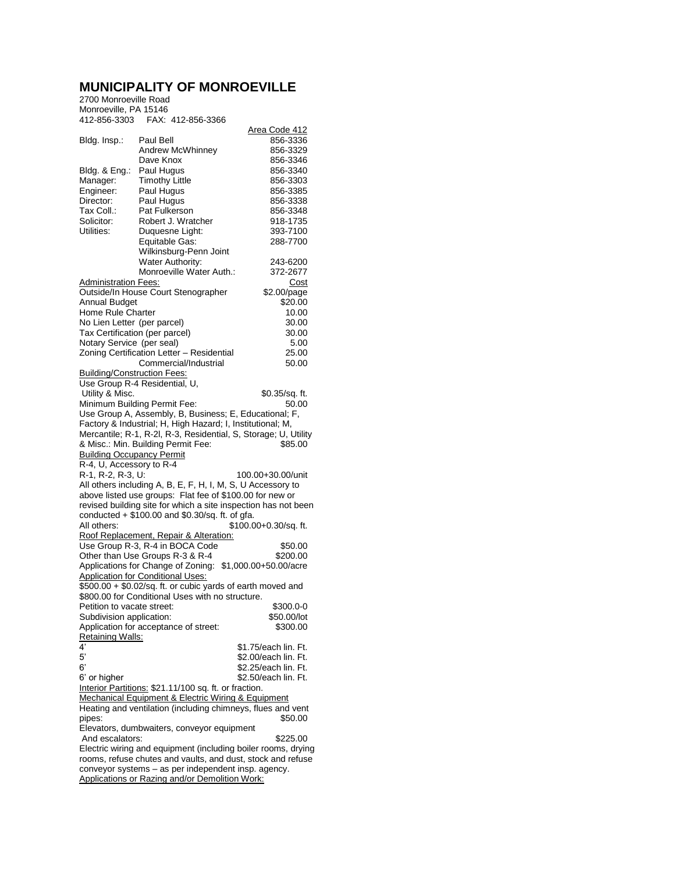## **MUNICIPALITY OF MONROEVILLE**

## 2700 Monroeville Road Monroeville, PA 15146 412-856-3303 FAX: 412-856-3366

| 412-856-3303                                                  | FAX: 412-856-3366                                               |                         |  |  |
|---------------------------------------------------------------|-----------------------------------------------------------------|-------------------------|--|--|
|                                                               |                                                                 | Area Code 412           |  |  |
| Bldg. Insp.:                                                  | Paul Bell<br><b>Andrew McWhinney</b>                            | 856-3336                |  |  |
|                                                               | Dave Knox                                                       | 856-3329<br>856-3346    |  |  |
| Bldg. & Eng.:                                                 | Paul Hugus                                                      | 856-3340                |  |  |
| Manager:                                                      | <b>Timothy Little</b>                                           | 856-3303                |  |  |
| Engineer:                                                     | Paul Hugus                                                      | 856-3385                |  |  |
| Director:                                                     | Paul Hugus                                                      | 856-3338                |  |  |
| Tax Coll.:                                                    | Pat Fulkerson                                                   | 856-3348                |  |  |
| Solicitor:                                                    | Robert J. Wratcher                                              | 918-1735                |  |  |
| Utilities:                                                    | Duquesne Light:                                                 | 393-7100                |  |  |
|                                                               | Equitable Gas:                                                  | 288-7700                |  |  |
|                                                               | Wilkinsburg-Penn Joint                                          |                         |  |  |
|                                                               | Water Authority:                                                | 243-6200                |  |  |
|                                                               | Monroeville Water Auth.:                                        | 372-2677                |  |  |
| Administration Fees:                                          |                                                                 | Cost                    |  |  |
|                                                               | Outside/In House Court Stenographer                             | \$2.00/page             |  |  |
| Annual Budget                                                 |                                                                 | \$20.00                 |  |  |
| Home Rule Charter                                             |                                                                 | 10.00                   |  |  |
| No Lien Letter (per parcel)                                   |                                                                 | 30.00                   |  |  |
| Tax Certification (per parcel)                                |                                                                 | 30.00                   |  |  |
| Notary Service (per seal)                                     |                                                                 | 5.00                    |  |  |
|                                                               | Zoning Certification Letter - Residential                       | 25.00                   |  |  |
|                                                               | Commercial/Industrial                                           | 50.00                   |  |  |
| Building/Construction Fees:                                   |                                                                 |                         |  |  |
|                                                               | Use Group R-4 Residential, U,                                   |                         |  |  |
| Utility & Misc.                                               | Minimum Building Permit Fee:                                    | \$0.35/sq. ft.<br>50.00 |  |  |
|                                                               | Use Group A, Assembly, B, Business; E, Educational; F,          |                         |  |  |
|                                                               | Factory & Industrial; H, High Hazard; I, Institutional; M,      |                         |  |  |
|                                                               | Mercantile; R-1, R-2l, R-3, Residential, S, Storage; U, Utility |                         |  |  |
|                                                               | & Misc.: Min. Building Permit Fee:                              | \$85.00                 |  |  |
| <b>Building Occupancy Permit</b>                              |                                                                 |                         |  |  |
| R-4, U, Accessory to R-4                                      |                                                                 |                         |  |  |
| R-1, R-2, R-3, U:                                             |                                                                 | 100.00+30.00/unit       |  |  |
| All others including A, B, E, F, H, I, M, S, U Accessory to   |                                                                 |                         |  |  |
| above listed use groups: Flat fee of \$100.00 for new or      |                                                                 |                         |  |  |
|                                                               | revised building site for which a site inspection has not been  |                         |  |  |
|                                                               | conducted $+$ \$100.00 and \$0.30/sq. ft. of gfa.               |                         |  |  |
| All others:                                                   |                                                                 | $$100.00+0.30/sq.$ ft.  |  |  |
|                                                               | Roof Replacement, Repair & Alteration:                          |                         |  |  |
|                                                               | Use Group R-3, R-4 in BOCA Code                                 | \$50.00                 |  |  |
|                                                               | Other than Use Groups R-3 & R-4                                 | \$200.00                |  |  |
|                                                               | Applications for Change of Zoning: \$1,000.00+50.00/acre        |                         |  |  |
|                                                               | <b>Application for Conditional Uses:</b>                        |                         |  |  |
|                                                               | \$500.00 + \$0.02/sq. ft. or cubic yards of earth moved and     |                         |  |  |
| Petition to vacate street:                                    | \$800.00 for Conditional Uses with no structure.                |                         |  |  |
|                                                               |                                                                 | \$300.0-0               |  |  |
| Subdivision application:                                      |                                                                 | \$50.00/lot<br>\$300.00 |  |  |
| Retaining Walls:                                              | Application for acceptance of street:                           |                         |  |  |
| 4'                                                            |                                                                 | \$1.75/each lin. Ft.    |  |  |
| 5'                                                            |                                                                 | \$2.00/each lin. Ft.    |  |  |
| 6,                                                            |                                                                 | \$2.25/each lin. Ft.    |  |  |
| 6' or higher                                                  |                                                                 | \$2.50/each lin. Ft.    |  |  |
|                                                               | Interior Partitions: \$21.11/100 sq. ft. or fraction.           |                         |  |  |
|                                                               | Mechanical Equipment & Electric Wiring & Equipment              |                         |  |  |
|                                                               | Heating and ventilation (including chimneys, flues and vent     |                         |  |  |
| pipes:                                                        |                                                                 | \$50.00                 |  |  |
|                                                               | Elevators, dumbwaiters, conveyor equipment                      |                         |  |  |
| And escalators:                                               |                                                                 | \$225.00                |  |  |
| Electric wiring and equipment (including boiler rooms, drying |                                                                 |                         |  |  |
| rooms, refuse chutes and vaults, and dust, stock and refuse   |                                                                 |                         |  |  |
|                                                               | conveyor systems - as per independent insp. agency.             |                         |  |  |
|                                                               | Applications or Razing and/or Demolition Work:                  |                         |  |  |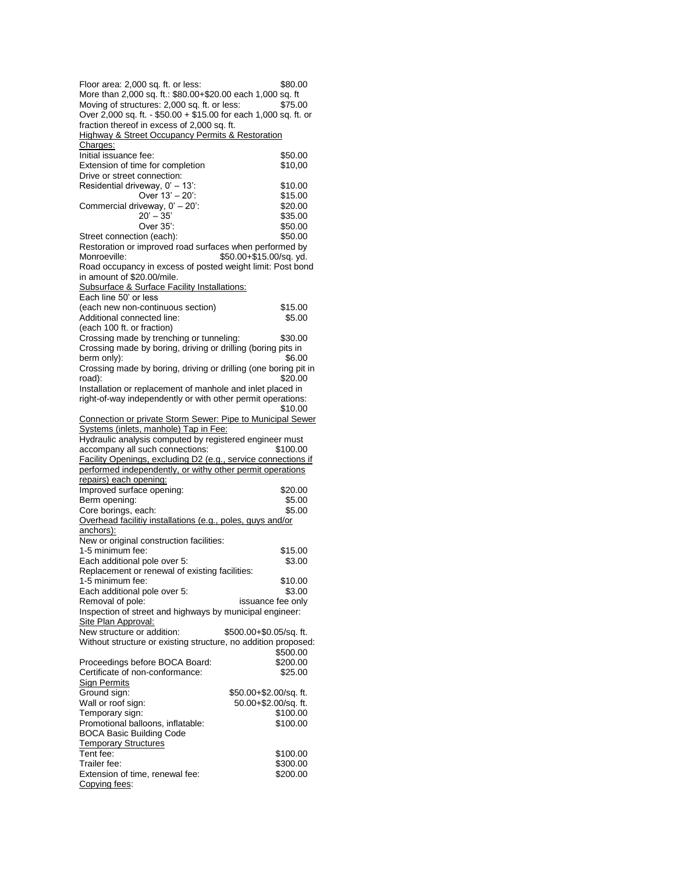| Floor area: 2,000 sq. ft. or less:<br>More than 2,000 sq. ft.: \$80.00+\$20.00 each 1,000 sq. ft                                                                                                                                                                                                                                                                                           | \$80.00                 |
|--------------------------------------------------------------------------------------------------------------------------------------------------------------------------------------------------------------------------------------------------------------------------------------------------------------------------------------------------------------------------------------------|-------------------------|
| Moving of structures: 2,000 sq. ft. or less:                                                                                                                                                                                                                                                                                                                                               | \$75.00                 |
| Over 2,000 sq. ft. - \$50.00 + \$15.00 for each 1,000 sq. ft. or                                                                                                                                                                                                                                                                                                                           |                         |
| fraction thereof in excess of 2,000 sq. ft.                                                                                                                                                                                                                                                                                                                                                |                         |
| <b>Highway &amp; Street Occupancy Permits &amp; Restoration</b>                                                                                                                                                                                                                                                                                                                            |                         |
| Charges:                                                                                                                                                                                                                                                                                                                                                                                   |                         |
| Initial issuance fee:                                                                                                                                                                                                                                                                                                                                                                      | \$50.00                 |
| Extension of time for completion                                                                                                                                                                                                                                                                                                                                                           | \$10,00                 |
| Drive or street connection:                                                                                                                                                                                                                                                                                                                                                                |                         |
| Residential driveway, 0' - 13':                                                                                                                                                                                                                                                                                                                                                            | \$10.00                 |
| Over 13' - 20':                                                                                                                                                                                                                                                                                                                                                                            | \$15.00                 |
| Commercial driveway, 0' - 20':                                                                                                                                                                                                                                                                                                                                                             | \$20.00                 |
| $20' - 35'$                                                                                                                                                                                                                                                                                                                                                                                | \$35.00                 |
| Over 35':                                                                                                                                                                                                                                                                                                                                                                                  | \$50.00                 |
| Street connection (each):<br>Restoration or improved road surfaces when performed by                                                                                                                                                                                                                                                                                                       | \$50.00                 |
| Monroeville:                                                                                                                                                                                                                                                                                                                                                                               | \$50.00+\$15.00/sq. yd. |
| Road occupancy in excess of posted weight limit: Post bond                                                                                                                                                                                                                                                                                                                                 |                         |
| in amount of \$20.00/mile.                                                                                                                                                                                                                                                                                                                                                                 |                         |
| Subsurface & Surface Facility Installations:                                                                                                                                                                                                                                                                                                                                               |                         |
| Each line 50' or less                                                                                                                                                                                                                                                                                                                                                                      |                         |
| (each new non-continuous section)                                                                                                                                                                                                                                                                                                                                                          | \$15.00                 |
| Additional connected line:                                                                                                                                                                                                                                                                                                                                                                 | \$5.00                  |
| (each 100 ft. or fraction)                                                                                                                                                                                                                                                                                                                                                                 |                         |
| Crossing made by trenching or tunneling:                                                                                                                                                                                                                                                                                                                                                   | \$30.00                 |
| Crossing made by boring, driving or drilling (boring pits in                                                                                                                                                                                                                                                                                                                               |                         |
| berm only):                                                                                                                                                                                                                                                                                                                                                                                | \$6.00                  |
| Crossing made by boring, driving or drilling (one boring pit in                                                                                                                                                                                                                                                                                                                            |                         |
| road):                                                                                                                                                                                                                                                                                                                                                                                     | \$20.00                 |
| Installation or replacement of manhole and inlet placed in<br>right-of-way independently or with other permit operations:                                                                                                                                                                                                                                                                  |                         |
|                                                                                                                                                                                                                                                                                                                                                                                            | \$10.00                 |
| Connection or private Storm Sewer: Pipe to Municipal Sewer                                                                                                                                                                                                                                                                                                                                 |                         |
| Systems (inlets, manhole) Tap in Fee:                                                                                                                                                                                                                                                                                                                                                      |                         |
| Hydraulic analysis computed by registered engineer must                                                                                                                                                                                                                                                                                                                                    |                         |
| accompany all such connections:                                                                                                                                                                                                                                                                                                                                                            | \$100.00                |
| Facility Openings, excluding D2 (e.g., service connections if                                                                                                                                                                                                                                                                                                                              |                         |
| performed independently, or withy other permit operations                                                                                                                                                                                                                                                                                                                                  |                         |
| repairs) each opening:                                                                                                                                                                                                                                                                                                                                                                     |                         |
| Improved surface opening:                                                                                                                                                                                                                                                                                                                                                                  | \$20.00                 |
| Berm opening:                                                                                                                                                                                                                                                                                                                                                                              | \$5.00                  |
| Core borings, each:<br>Overhead facilitiy installations (e.g., poles, guys and/or                                                                                                                                                                                                                                                                                                          | \$5.00                  |
| anchors):                                                                                                                                                                                                                                                                                                                                                                                  |                         |
| New or original construction facilities:                                                                                                                                                                                                                                                                                                                                                   |                         |
| 1-5 minimum fee:                                                                                                                                                                                                                                                                                                                                                                           | \$15.00                 |
| Each additional pole over 5:                                                                                                                                                                                                                                                                                                                                                               | \$3.00                  |
| Replacement or renewal of existing facilities:                                                                                                                                                                                                                                                                                                                                             |                         |
| 1-5 minimum fee:                                                                                                                                                                                                                                                                                                                                                                           | \$10.00                 |
| Each additional pole over 5:                                                                                                                                                                                                                                                                                                                                                               | \$3.00                  |
| Removal of pole:                                                                                                                                                                                                                                                                                                                                                                           | issuance fee only       |
| Inspection of street and highways by municipal engineer:                                                                                                                                                                                                                                                                                                                                   |                         |
| Site Plan Approval:                                                                                                                                                                                                                                                                                                                                                                        |                         |
| New structure or addition:                                                                                                                                                                                                                                                                                                                                                                 | \$500.00+\$0.05/sq. ft. |
|                                                                                                                                                                                                                                                                                                                                                                                            |                         |
|                                                                                                                                                                                                                                                                                                                                                                                            |                         |
|                                                                                                                                                                                                                                                                                                                                                                                            | \$500.00                |
|                                                                                                                                                                                                                                                                                                                                                                                            | \$200.00                |
|                                                                                                                                                                                                                                                                                                                                                                                            | \$25.00                 |
|                                                                                                                                                                                                                                                                                                                                                                                            |                         |
|                                                                                                                                                                                                                                                                                                                                                                                            | \$50.00+\$2.00/sq. ft.  |
|                                                                                                                                                                                                                                                                                                                                                                                            | 50.00+\$2.00/sq. ft.    |
|                                                                                                                                                                                                                                                                                                                                                                                            | \$100.00                |
|                                                                                                                                                                                                                                                                                                                                                                                            | \$100.00                |
|                                                                                                                                                                                                                                                                                                                                                                                            |                         |
|                                                                                                                                                                                                                                                                                                                                                                                            |                         |
|                                                                                                                                                                                                                                                                                                                                                                                            | \$100.00                |
| Without structure or existing structure, no addition proposed:<br>Proceedings before BOCA Board:<br>Certificate of non-conformance:<br><b>Sign Permits</b><br>Ground sign:<br>Wall or roof sign:<br>Temporary sign:<br>Promotional balloons, inflatable:<br><b>BOCA Basic Building Code</b><br><b>Temporary Structures</b><br>Tent fee:<br>Trailer fee:<br>Extension of time, renewal fee: | \$300.00<br>\$200.00    |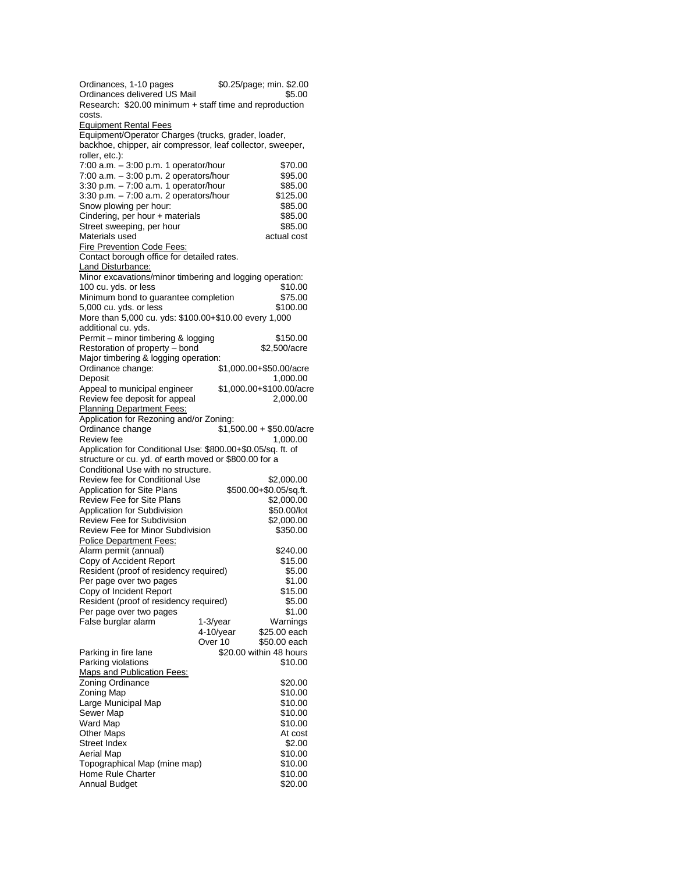| Ordinances, 1-10 pages                                                                                            | \$0.25/page; min. \$2.00               |  |
|-------------------------------------------------------------------------------------------------------------------|----------------------------------------|--|
| Ordinances delivered US Mail                                                                                      | \$5.00                                 |  |
| Research: \$20.00 minimum + staff time and reproduction                                                           |                                        |  |
| costs.                                                                                                            |                                        |  |
| <b>Equipment Rental Fees</b>                                                                                      |                                        |  |
| Equipment/Operator Charges (trucks, grader, loader,<br>backhoe, chipper, air compressor, leaf collector, sweeper, |                                        |  |
| roller, etc.):                                                                                                    |                                        |  |
| 7:00 a.m. - 3:00 p.m. 1 operator/hour                                                                             | \$70.00                                |  |
| 7:00 a.m. - 3:00 p.m. 2 operators/hour                                                                            | \$95.00                                |  |
| 3:30 p.m. - 7:00 a.m. 1 operator/hour                                                                             | \$85.00                                |  |
| 3:30 p.m. - 7:00 a.m. 2 operators/hour                                                                            | \$125.00                               |  |
| Snow plowing per hour:                                                                                            | \$85.00                                |  |
| Cindering, per hour + materials                                                                                   | \$85.00                                |  |
| Street sweeping, per hour                                                                                         | \$85.00                                |  |
| Materials used                                                                                                    | actual cost                            |  |
| <b>Fire Prevention Code Fees:</b>                                                                                 |                                        |  |
| Contact borough office for detailed rates.                                                                        |                                        |  |
| Land Disturbance:                                                                                                 |                                        |  |
| Minor excavations/minor timbering and logging operation:                                                          |                                        |  |
| 100 cu. yds. or less<br>Minimum bond to guarantee completion                                                      | \$10.00<br>\$75.00                     |  |
| 5,000 cu. yds. or less                                                                                            | \$100.00                               |  |
| More than 5,000 cu. yds: \$100.00+\$10.00 every 1,000                                                             |                                        |  |
| additional cu. yds.                                                                                               |                                        |  |
| Permit - minor timbering & logging                                                                                | \$150.00                               |  |
| Restoration of property - bond                                                                                    | \$2,500/acre                           |  |
| Major timbering & logging operation:                                                                              |                                        |  |
| Ordinance change:                                                                                                 | \$1,000.00+\$50.00/acre                |  |
| Deposit                                                                                                           | 1,000.00                               |  |
| Appeal to municipal engineer                                                                                      | \$1,000.00+\$100.00/acre               |  |
| Review fee deposit for appeal                                                                                     | 2,000.00                               |  |
| <b>Planning Department Fees:</b>                                                                                  |                                        |  |
| Application for Rezoning and/or Zoning:                                                                           |                                        |  |
| Ordinance change<br>Review fee                                                                                    | $$1,500.00 + $50.00/$ acre<br>1,000.00 |  |
| Application for Conditional Use: \$800.00+\$0.05/sq. ft. of                                                       |                                        |  |
| structure or cu. yd. of earth moved or \$800.00 for a                                                             |                                        |  |
| Conditional Use with no structure.                                                                                |                                        |  |
| Review fee for Conditional Use                                                                                    | \$2,000.00                             |  |
| Application for Site Plans                                                                                        | \$500.00+\$0.05/sq.ft.                 |  |
| <b>Review Fee for Site Plans</b>                                                                                  | \$2,000.00                             |  |
| Application for Subdivision                                                                                       | \$50.00/lot                            |  |
| Review Fee for Subdivision                                                                                        | \$2,000.00                             |  |
| <b>Review Fee for Minor Subdivision</b>                                                                           | \$350.00                               |  |
| <b>Police Department Fees:</b>                                                                                    |                                        |  |
| Alarm permit (annual)                                                                                             | \$240.00                               |  |
| Copy of Accident Report                                                                                           | \$15.00                                |  |
| Resident (proof of residency required)                                                                            | \$5.00                                 |  |
| Per page over two pages                                                                                           | \$1.00<br>\$15.00                      |  |
| Copy of Incident Report<br>Resident (proof of residency required)                                                 | \$5.00                                 |  |
| Per page over two pages                                                                                           | \$1.00                                 |  |
| False burglar alarm                                                                                               | Warnings<br>1-3/year                   |  |
|                                                                                                                   | $4-10$ /year<br>\$25.00 each           |  |
|                                                                                                                   | Over 10<br>\$50.00 each                |  |
| Parking in fire lane                                                                                              | \$20.00 within 48 hours                |  |
| Parking violations                                                                                                | \$10.00                                |  |
| <b>Maps and Publication Fees:</b>                                                                                 |                                        |  |
| Zoning Ordinance                                                                                                  | \$20.00                                |  |
| Zoning Map                                                                                                        | \$10.00                                |  |
| Large Municipal Map                                                                                               | \$10.00                                |  |
| Sewer Map                                                                                                         | \$10.00                                |  |
| Ward Map                                                                                                          | \$10.00                                |  |
| <b>Other Maps</b><br>Street Index                                                                                 | At cost<br>\$2.00                      |  |
| Aerial Map                                                                                                        | \$10.00                                |  |
| Topographical Map (mine map)                                                                                      | \$10.00                                |  |
| <b>Home Rule Charter</b>                                                                                          | \$10.00                                |  |
| <b>Annual Budget</b>                                                                                              | \$20.00                                |  |